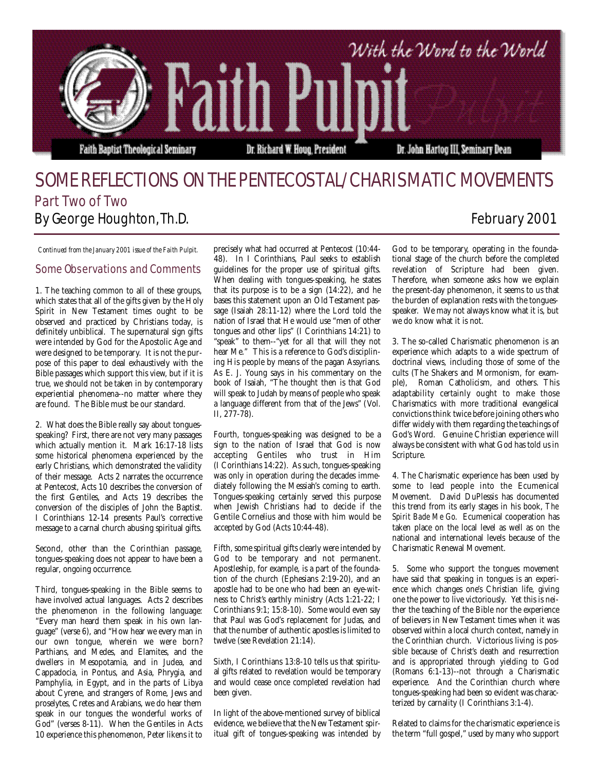

## SOME REFLECTIONS ON THE PENTECOSTAL/CHARISMATIC MOVEMENTS Part Two of Two By George Houghton, Th.D. **February 2001**

*Continued from the January 2001 issue of the Faith Pulpit.*

## Some Observations and Comments

1. The teaching common to all of these groups, which states that all of the gifts given by the Holy Spirit in New Testament times ought to be observed and practiced by Christians today, is definitely unbiblical. The supernatural sign gifts were intended by God for the Apostolic Age and were designed to be temporary. It is not the purpose of this paper to deal exhaustively with the Bible passages which support this view, but if it is true, we should not be taken in by contemporary experiential phenomena--no matter where they are found. The Bible must be our standard.

2. What does the Bible really say about tonguesspeaking? First, there are not very many passages which actually mention it. Mark 16:17-18 lists some historical phenomena experienced by the early Christians, which demonstrated the validity of their message. Acts 2 narrates the occurrence at Pentecost, Acts 10 describes the conversion of the first Gentiles, and Acts 19 describes the conversion of the disciples of John the Baptist. I Corinthians 12-14 presents Paul's corrective message to a carnal church abusing spiritual gifts.

Second, other than the Corinthian passage, tongues-speaking does not appear to have been a regular, ongoing occurrence.

Third, tongues-speaking in the Bible seems to have involved actual languages. Acts 2 describes the phenomenon in the following language: "Every man heard them speak in his own language" (verse 6), and "How hear we every man in our own tongue, wherein we were born? Parthians, and Medes, and Elamites, and the dwellers in Mesopotamia, and in Judea, and Cappadocia, in Pontus, and Asia, Phrygia, and Pamphylia, in Egypt, and in the parts of Libya about Cyrene, and strangers of Rome, Jews and proselytes, Cretes and Arabians, we do hear them speak in our tongues the wonderful works of God" (verses 8-11). When the Gentiles in Acts 10 experience this phenomenon, Peter likens it to

precisely what had occurred at Pentecost (10:44- 48). In I Corinthians, Paul seeks to establish guidelines for the proper use of spiritual gifts. When dealing with tongues-speaking, he states that its purpose is to be a sign  $(14:22)$ , and he bases this statement upon an Old Testament passage (Isaiah 28:11-12) where the Lord told the nation of Israel that He would use "men of other tongues and other lips" (I Corinthians 14:21) to "speak" to them--"yet for all that will they not hear Me." This is a reference to God's disciplining His people by means of the pagan Assyrians. As E. J. Young says in his commentary on the book of Isaiah, "The thought then is that God will speak to Judah by means of people who speak a language different from that of the Jews" (Vol. II, 277-78).

Fourth, tongues-speaking was designed to be a sign to the nation of Israel that God is now accepting Gentiles who trust in Him (I Corinthians 14:22). As such, tongues-speaking was only in operation during the decades immediately following the Messiah's coming to earth. Tongues-speaking certainly served this purpose when Jewish Christians had to decide if the Gentile Cornelius and those with him would be accepted by God (Acts 10:44-48).

Fifth, some spiritual gifts clearly were intended by God to be temporary and not permanent. Apostleship, for example, is a part of the foundation of the church (Ephesians 2:19-20), and an apostle had to be one who had been an eye-witness to Christ's earthly ministry (Acts 1:21-22; I Corinthians 9:1; 15:8-10). Some would even say that Paul was God's replacement for Judas, and that the number of authentic apostles is limited to twelve (see Revelation 21:14).

Sixth, I Corinthians 13:8-10 tells us that spiritual gifts related to revelation would be temporary and would cease once completed revelation had been given.

In light of the above-mentioned survey of biblical evidence, we believe that the New Testament spiritual gift of tongues-speaking was intended by God to be temporary, operating in the foundational stage of the church before the completed revelation of Scripture had been given. Therefore, when someone asks how we explain the present-day phenomenon, it seems to us that the burden of explanation rests with the tonguesspeaker. We may not always know what it is, but we do know what it is not.

3. The so-called Charismatic phenomenon is an experience which adapts to a wide spectrum of doctrinal views, including those of some of the cults (The Shakers and Mormonism, for example), Roman Catholicism, and others. This adaptability certainly ought to make those Charismatics with more traditional evangelical convictions think twice before joining others who differ widely with them regarding the teachings of God's Word. Genuine Christian experience will always be consistent with what God has told us in Scripture.

4. The Charismatic experience has been used by some to lead people into the Ecumenical Movement. David DuPlessis has documented this trend from its early stages in his book, *The Spirit Bade Me Go*. Ecumenical cooperation has taken place on the local level as well as on the national and international levels because of the Charismatic Renewal Movement.

5. Some who support the tongues movement have said that speaking in tongues is an experience which changes one's Christian life, giving one the power to live victoriously. Yet this is neither the teaching of the Bible nor the experience of believers in New Testament times when it was observed within a local church context, namely in the Corinthian church. Victorious living is possible because of Christ's death and resurrection and is appropriated through yielding to God ( Romans 6:1-13)--not through a Charismatic experience. And the Corinthian church where tongues-speaking had been so evident was characterized by carnality (I Corinthians 3:1-4).

Related to claims for the charismatic experience is the term "full gospel," used by many who support